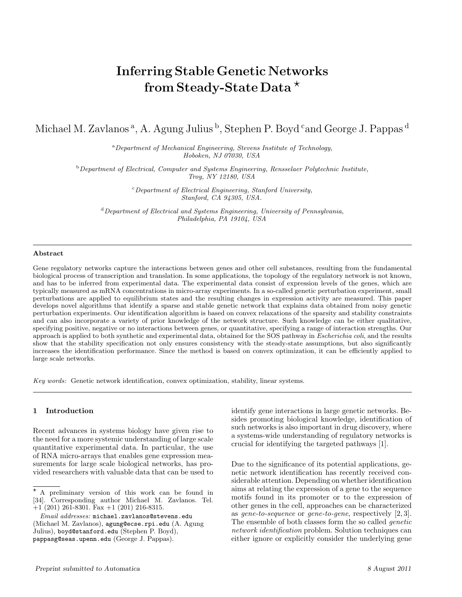# Inferring Stable Genetic Networks from Steady-State Data  $\star$

Michael M. Zavlanos<sup>a</sup>, A. Agung Julius<sup>b</sup>, Stephen P. Boyd <sup>c</sup>and George J. Pappas<sup>d</sup>

<sup>a</sup>Department of Mechanical Engineering, Stevens Institute of Technology, Hoboken, NJ 07030, USA

 $b$ Department of Electrical, Computer and Systems Engineering, Rensselaer Polytechnic Institute, Troy, NY 12180, USA

> $c$ Department of Electrical Engineering, Stanford University, Stanford, CA 94305, USA.

<sup>d</sup>Department of Electrical and Systems Engineering, University of Pennsylvania, Philadelphia, PA 19104, USA

#### Abstract

Gene regulatory networks capture the interactions between genes and other cell substances, resulting from the fundamental biological process of transcription and translation. In some applications, the topology of the regulatory network is not known, and has to be inferred from experimental data. The experimental data consist of expression levels of the genes, which are typically measured as mRNA concentrations in micro-array experiments. In a so-called genetic perturbation experiment, small perturbations are applied to equilibrium states and the resulting changes in expression activity are measured. This paper develops novel algorithms that identify a sparse and stable genetic network that explains data obtained from noisy genetic perturbation experiments. Our identification algorithm is based on convex relaxations of the sparsity and stability constraints and can also incorporate a variety of prior knowledge of the network structure. Such knowledge can be either qualitative, specifying positive, negative or no interactions between genes, or quantitative, specifying a range of interaction strengths. Our approach is applied to both synthetic and experimental data, obtained for the SOS pathway in Escherichia coli, and the results show that the stability specification not only ensures consistency with the steady-state assumptions, but also significantly increases the identification performance. Since the method is based on convex optimization, it can be efficiently applied to large scale networks.

Key words: Genetic network identification, convex optimization, stability, linear systems.

# 1 Introduction

Recent advances in systems biology have given rise to the need for a more systemic understanding of large scale quantitative experimental data. In particular, the use of RNA micro-arrays that enables gene expression measurements for large scale biological networks, has provided researchers with valuable data that can be used to identify gene interactions in large genetic networks. Besides promoting biological knowledge, identification of such networks is also important in drug discovery, where a systems-wide understanding of regulatory networks is crucial for identifying the targeted pathways [1].

Due to the significance of its potential applications, genetic network identification has recently received considerable attention. Depending on whether identification aims at relating the expression of a gene to the sequence motifs found in its promoter or to the expression of other genes in the cell, approaches can be characterized as gene-to-sequence or gene-to-gene, respectively [2, 3]. The ensemble of both classes form the so called genetic network identification problem. Solution techniques can either ignore or explicitly consider the underlying gene

 $*$  A preliminary version of this work can be found in [34]. Corresponding author Michael M. Zavlanos. Tel.  $+1$  (201) 261-8301. Fax  $+1$  (201) 216-8315.

Email addresses: michael.zavlanos@stevens.edu (Michael M. Zavlanos), agung@ecse.rpi.edu (A. Agung Julius), boyd@stanford.edu (Stephen P. Boyd), pappasg@seas.upenn.edu (George J. Pappas).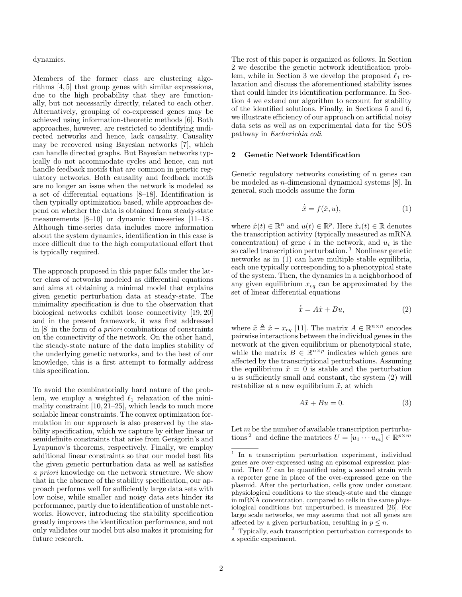dynamics.

Members of the former class are clustering algorithms [4, 5] that group genes with similar expressions, due to the high probability that they are functionally, but not necessarily directly, related to each other. Alternatively, grouping of co-expressed genes may be achieved using information-theoretic methods [6]. Both approaches, however, are restricted to identifying undirected networks and hence, lack causality. Causality may be recovered using Bayesian networks [7], which can handle directed graphs. But Bayesian networks typically do not accommodate cycles and hence, can not handle feedback motifs that are common in genetic regulatory networks. Both causality and feedback motifs are no longer an issue when the network is modeled as a set of differential equations [8–18]. Identification is then typically optimization based, while approaches depend on whether the data is obtained from steady-state measurements [8–10] or dynamic time-series [11–18]. Although time-series data includes more information about the system dynamics, identification in this case is more difficult due to the high computational effort that is typically required.

The approach proposed in this paper falls under the latter class of networks modeled as differential equations and aims at obtaining a minimal model that explains given genetic perturbation data at steady-state. The minimality specification is due to the observation that biological networks exhibit loose connectivity [19, 20] and in the present framework, it was first addressed in [8] in the form of a priori combinations of constraints on the connectivity of the network. On the other hand, the steady-state nature of the data implies stability of the underlying genetic networks, and to the best of our knowledge, this is a first attempt to formally address this specification.

To avoid the combinatorially hard nature of the problem, we employ a weighted  $\ell_1$  relaxation of the minimality constraint  $[10, 21-25]$ , which leads to much more scalable linear constraints. The convex optimization formulation in our approach is also preserved by the stability specification, which we capture by either linear or semidefinite constraints that arise from Gersgorin's and Lyapunov's theorems, respectively. Finally, we employ additional linear constraints so that our model best fits the given genetic perturbation data as well as satisfies a priori knowledge on the network structure. We show that in the absence of the stability specification, our approach performs well for sufficiently large data sets with low noise, while smaller and noisy data sets hinder its performance, partly due to identification of unstable networks. However, introducing the stability specification greatly improves the identification performance, and not only validates our model but also makes it promising for future research.

The rest of this paper is organized as follows. In Section 2 we describe the genetic network identification problem, while in Section 3 we develop the proposed  $\ell_1$  relaxation and discuss the aforementioned stability issues that could hinder its identification performance. In Section 4 we extend our algorithm to account for stability of the identified solutions. Finally, in Sections 5 and 6, we illustrate efficiency of our approach on artificial noisy data sets as well as on experimental data for the SOS pathway in Escherichia coli.

## 2 Genetic Network Identification

Genetic regulatory networks consisting of  $n$  genes can be modeled as n-dimensional dynamical systems [8]. In general, such models assume the form

$$
\dot{\hat{x}} = f(\hat{x}, u),\tag{1}
$$

where  $\hat{x}(t) \in \mathbb{R}^n$  and  $u(t) \in \mathbb{R}^p$ . Here  $\hat{x}_i(t) \in \mathbb{R}$  denotes the transcription activity (typically measured as mRNA concentration) of gene  $i$  in the network, and  $u_i$  is the so called transcription perturbation.<sup>1</sup> Nonlinear genetic networks as in (1) can have multiple stable equilibria, each one typically corresponding to a phenotypical state of the system. Then, the dynamics in a neighborhood of any given equilibrium  $x_{eq}$  can be approximated by the set of linear differential equations

$$
\dot{\tilde{x}} = A\tilde{x} + Bu,\tag{2}
$$

where  $\tilde{x} \triangleq \hat{x} - x_{eq}$  [11]. The matrix  $A \in \mathbb{R}^{n \times n}$  encodes pairwise interactions between the individual genes in the network at the given equilibrium or phenotypical state, while the matrix  $B \in \mathbb{R}^{n \times p}$  indicates which genes are affected by the transcriptional perturbations. Assuming the equilibrium  $\tilde{x} = 0$  is stable and the perturbation  $u$  is sufficiently small and constant, the system  $(2)$  will restabilize at a new equilibrium  $\tilde{x}$ , at which

$$
A\tilde{x} + Bu = 0. \tag{3}
$$

Let  $m$  be the number of available transcription perturbations<sup>2</sup> and define the matrices  $U = [u_1 \cdots u_m] \in \mathbb{R}^{p \times m}$ 

<sup>&</sup>lt;sup>1</sup> In a transcription perturbation experiment, individual genes are over-expressed using an episomal expression plasmid. Then  $U$  can be quantified using a second strain with a reporter gene in place of the over-expressed gene on the plasmid. After the perturbation, cells grow under constant physiological conditions to the steady-state and the change in mRNA concentration, compared to cells in the same physiological conditions but unperturbed, is measured [26]. For large scale networks, we may assume that not all genes are affected by a given perturbation, resulting in  $p \leq n$ .

<sup>2</sup> Typically, each transcription perturbation corresponds to a specific experiment.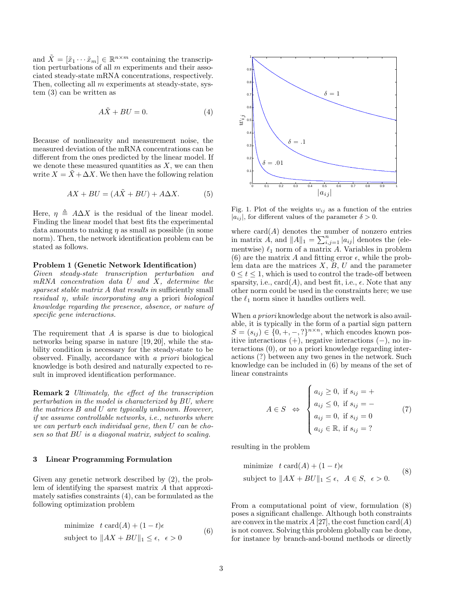and  $\tilde{X} = [\tilde{x}_1 \cdots \tilde{x}_m] \in \mathbb{R}^{n \times m}$  containing the transcription perturbations of all  $m$  experiments and their associated steady-state mRNA concentrations, respectively. Then, collecting all  $m$  experiments at steady-state, system (3) can be written as

$$
A\tilde{X} + BU = 0.\t\t(4)
$$

Because of nonlinearity and measurement noise, the measured deviation of the mRNA concentrations can be different from the ones predicted by the linear model. If we denote these measured quantities as  $X$ , we can then write  $X = \tilde{X} + \Delta X$ . We then have the following relation

$$
AX + BU = (A\tilde{X} + BU) + A\Delta X.
$$
 (5)

Here,  $\eta \triangleq A\Delta X$  is the residual of the linear model. Finding the linear model that best fits the experimental data amounts to making  $\eta$  as small as possible (in some norm). Then, the network identification problem can be stated as follows.

#### Problem 1 (Genetic Network Identification)

Given steady-state transcription perturbation and  $mRNA$  concentration data  $\overline{U}$  and  $\overline{X}$ , determine the sparsest stable matrix A that results in sufficiently small residual η, while incorporating any a priori biological knowledge regarding the presence, absence, or nature of specific gene interactions.

The requirement that  $A$  is sparse is due to biological networks being sparse in nature [19, 20], while the stability condition is necessary for the steady-state to be observed. Finally, accordance with a priori biological knowledge is both desired and naturally expected to result in improved identification performance.

Remark 2 Ultimately, the effect of the transcription perturbation in the model is characterized by BU, where the matrices B and U are typically unknown. However, if we assume controllable networks, i.e., networks where we can perturb each individual gene, then U can be chosen so that BU is a diagonal matrix, subject to scaling.

## 3 Linear Programming Formulation

Given any genetic network described by (2), the problem of identifying the sparsest matrix A that approximately satisfies constraints (4), can be formulated as the following optimization problem

minimize 
$$
t \operatorname{card}(A) + (1 - t)\epsilon
$$
  
subject to  $||AX + BU||_1 \le \epsilon, \ \epsilon > 0$  (6)



Fig. 1. Plot of the weights  $w_{ij}$  as a function of the entries  $|a_{ij}|$ , for different values of the parameter  $\delta > 0$ .

where  $card(A)$  denotes the number of nonzero entries in matrix  $\hat{A}$ , and  $||A||_1 = \sum_{i,j=1}^n |a_{ij}|$  denotes the (elementwise)  $\ell_1$  norm of a matrix A. Variables in problem (6) are the matrix A and fitting error  $\epsilon$ , while the problem data are the matrices  $X, B, U$  and the parameter  $0 \leq t \leq 1$ , which is used to control the trade-off between sparsity, i.e.,  $card(A)$ , and best fit, i.e.,  $\epsilon$ . Note that any other norm could be used in the constraints here; we use the  $\ell_1$  norm since it handles outliers well.

When *a priori* knowledge about the network is also available, it is typically in the form of a partial sign pattern  $S = (s_{ij}) \in \{0, +, -, ?\}^{n \times n}$ , which encodes known positive interactions  $(+)$ , negative interactions  $(-)$ , no interactions (0), or no a priori knowledge regarding interactions (?) between any two genes in the network. Such knowledge can be included in (6) by means of the set of linear constraints

$$
A \in S \Leftrightarrow \begin{cases} a_{ij} \ge 0, \text{ if } s_{ij} = + \\ a_{ij} \le 0, \text{ if } s_{ij} = - \\ a_{ij} = 0, \text{ if } s_{ij} = 0 \\ a_{ij} \in \mathbb{R}, \text{ if } s_{ij} = ? \end{cases} (7)
$$

resulting in the problem

minimize 
$$
t
$$
 card $(A) + (1 - t)\epsilon$   
subject to  $||AX + BU||_1 \le \epsilon$ ,  $A \in S$ ,  $\epsilon > 0$ . (8)

From a computational point of view, formulation (8) poses a significant challenge. Although both constraints are convex in the matrix  $A$  [27], the cost function card $(A)$ is not convex. Solving this problem globally can be done, for instance by branch-and-bound methods or directly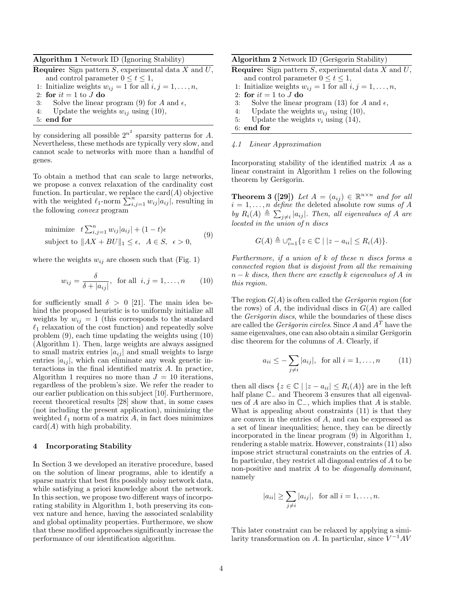| <b>Algorithm 1</b> Network ID (Ignoring Stability) |  |  |
|----------------------------------------------------|--|--|
|----------------------------------------------------|--|--|

**Require:** Sign pattern  $S$ , experimental data  $X$  and  $\overline{U}$ ,

- and control parameter  $0 \le t \le 1$ ,
- 1: Initialize weights  $w_{ij} = 1$  for all  $i, j = 1, \ldots, n$ ,
- 2: for  $it = 1$  to  $J$  do
- 3: Solve the linear program (9) for A and  $\epsilon$ ,
- 4: Update the weights  $w_{ij}$  using (10),
- 5: end for

by considering all possible  $2^{n^2}$  sparsity patterns for A. Nevertheless, these methods are typically very slow, and cannot scale to networks with more than a handful of genes.

To obtain a method that can scale to large networks, we propose a convex relaxation of the cardinality cost function. In particular, we replace the  $card(A)$  objective with the weighted  $\ell_1$ -norm  $\sum_{i,j=1}^n w_{ij} |a_{ij}|$ , resulting in the following convex program

minimize 
$$
t \sum_{i,j=1}^{n} w_{ij} |a_{ij}| + (1-t)\epsilon
$$
  
subject to  $||AX + BU||_1 \le \epsilon$ ,  $A \in S$ ,  $\epsilon > 0$ , (9)

where the weights  $w_{ij}$  are chosen such that (Fig. 1)

$$
w_{ij} = \frac{\delta}{\delta + |a_{ij}|}, \text{ for all } i, j = 1, \dots, n \qquad (10)
$$

for sufficiently small  $\delta > 0$  [21]. The main idea behind the proposed heuristic is to uniformly initialize all weights by  $w_{ij} = 1$  (this corresponds to the standard  $\ell_1$  relaxation of the cost function) and repeatedly solve problem (9), each time updating the weights using (10) (Algorithm 1). Then, large weights are always assigned to small matrix entries  $|a_{ij}|$  and small weights to large entries  $|a_{ij}|$ , which can eliminate any weak genetic interactions in the final identified matrix A. In practice, Algorithm 1 requires no more than  $J = 10$  iterations, regardless of the problem's size. We refer the reader to our earlier publication on this subject [10]. Furthermore, recent theoretical results [28] show that, in some cases (not including the present application), minimizing the weighted  $\ell_1$  norm of a matrix A, in fact does minimizes  $card(A)$  with high probability.

## 4 Incorporating Stability

In Section 3 we developed an iterative procedure, based on the solution of linear programs, able to identify a sparse matrix that best fits possibly noisy network data, while satisfying a priori knowledge about the network. In this section, we propose two different ways of incorporating stability in Algorithm 1, both preserving its convex nature and hence, having the associated scalability and global optimality properties. Furthermore, we show that these modified approaches significantly increase the performance of our identification algorithm.

Algorithm 2 Network ID (Geršgorin Stability)

**Require:** Sign pattern  $S$ , experimental data  $\overline{X}$  and  $\overline{U}$ , and control parameter  $0 \le t \le 1$ ,

- 1: Initialize weights  $w_{ij} = 1$  for all  $i, j = 1, \ldots, n$ ,
- 2: for  $it = 1$  to  $J$  do
- 3: Solve the linear program (13) for A and  $\epsilon$ ,
- 4: Update the weights  $w_{ij}$  using (10),
- 5: Update the weights  $v_i$  using (14),

#### 4.1 Linear Approximation

Incorporating stability of the identified matrix A as a linear constraint in Algorithm 1 relies on the following theorem by Geršgorin.

**Theorem 3 ([29])** Let  $A = (a_{ij}) \in \mathbb{R}^{n \times n}$  and for all  $i = 1, \ldots, n$  define the deleted absolute row sums of A by  $R_i(A) \triangleq \sum_{j \neq i} |a_{ij}|$ . Then, all eigenvalues of A are located in the union of n discs

$$
G(A) \triangleq \bigcup_{i=1}^{n} \{ z \in \mathbb{C} \mid |z - a_{ii}| \leq R_i(A) \}.
$$

Furthermore, if a union of k of these n discs forms a connected region that is disjoint from all the remaining  $n - k$  discs, then there are exactly k eigenvalues of A in this region.

The region  $G(A)$  is often called the *Geršgorin region* (for the rows) of A, the individual discs in  $G(A)$  are called the *Geršgorin discs*, while the boundaries of these discs are called the Gersgorin circles. Since A and  $A<sup>T</sup>$  have the same eigenvalues, one can also obtain a similar Geršgorin disc theorem for the columns of A. Clearly, if

$$
a_{ii} \leq -\sum_{j \neq i} |a_{ij}|, \text{ for all } i = 1, \dots, n \qquad (11)
$$

then all discs  $\{z \in \mathbb{C} \mid |z - a_{ii}| \leq R_i(A)\}\$ are in the left half plane  $\mathbb{C}$  and Theorem 3 ensures that all eigenvalues of A are also in  $\mathbb{C}_-$ , which implies that A is stable. What is appealing about constraints (11) is that they are convex in the entries of A, and can be expressed as a set of linear inequalities; hence, they can be directly incorporated in the linear program (9) in Algorithm 1, rendering a stable matrix. However, constraints (11) also impose strict structural constraints on the entries of A. In particular, they restrict all diagonal entries of A to be non-positive and matrix  $A$  to be *diagonally dominant*, namely

$$
|a_{ii}| \ge \sum_{j \ne i} |a_{ij}|, \text{ for all } i = 1, \dots, n.
$$

This later constraint can be relaxed by applying a similarity transformation on A. In particular, since  $V^{-1}AV$ 

<sup>6:</sup> end for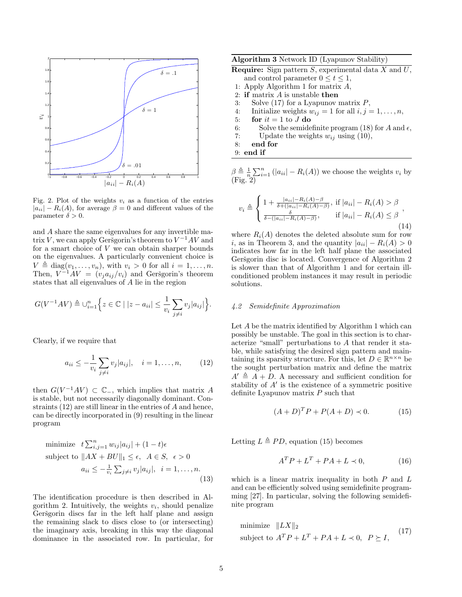

Fig. 2. Plot of the weights  $v_i$  as a function of the entries  $|a_{ii}| - R_i(A)$ , for average  $\beta = 0$  and different values of the parameter  $\delta > 0$ .

and A share the same eigenvalues for any invertible matrix V, we can apply Geršgorin's theorem to  $V^{-1}AV$  and for a smart choice of  $V$  we can obtain sharper bounds on the eigenvalues. A particularly convenient choice is  $V \triangleq \text{diag}(v_1, \ldots, v_n)$ , with  $v_i > 0$  for all  $i = 1, \ldots, n$ . Then,  $V^{-1}AV = (v_j a_{ij}/v_i)$  and Geršgorin's theorem states that all eigenvalues of A lie in the region

$$
G(V^{-1}AV) \triangleq \bigcup_{i=1}^{n} \left\{ z \in \mathbb{C} \mid |z - a_{ii}| \leq \frac{1}{v_i} \sum_{j \neq i} v_j |a_{ij}| \right\}.
$$

Clearly, if we require that

$$
a_{ii} \le -\frac{1}{v_i} \sum_{j \neq i} v_j |a_{ij}|, \quad i = 1, ..., n,
$$
 (12)

then  $G(V^{-1}AV) \subset \mathbb{C}_-$ , which implies that matrix A is stable, but not necessarily diagonally dominant. Constraints  $(12)$  are still linear in the entries of A and hence, can be directly incorporated in (9) resulting in the linear program

minimize 
$$
t \sum_{i,j=1}^{n} w_{ij} |a_{ij}| + (1-t)\epsilon
$$
  
subject to  $||AX + BU||_1 \le \epsilon$ ,  $A \in S$ ,  $\epsilon > 0$   
 $a_{ii} \le -\frac{1}{v_i} \sum_{j \neq i} v_j |a_{ij}|$ ,  $i = 1, ..., n$ . (13)

The identification procedure is then described in Algorithm 2. Intuitively, the weights  $v_i$ , should penalize Geršgorin discs far in the left half plane and assign the remaining slack to discs close to (or intersecting) the imaginary axis, breaking in this way the diagonal dominance in the associated row. In particular, for

| <b>Algorithm 3</b> Network ID (Lyapunov Stability) |  |  |  |
|----------------------------------------------------|--|--|--|
|----------------------------------------------------|--|--|--|

- **Require:** Sign pattern  $S$ , experimental data  $X$  and  $U$ , and control parameter  $0 \le t \le 1$ ,
- 1: Apply Algorithm 1 for matrix A,
- 2: if matrix  $A$  is unstable then
- 3: Solve (17) for a Lyapunov matrix  $P$ ,
- 4: Initialize weights  $w_{ij} = 1$  for all  $i, j = 1, \ldots, n$ ,
- 5: **for**  $it = 1$  to  $J$  **do**<br>6: Solve the semide
- Solve the semidefinite program (18) for A and  $\epsilon$ ,
- 7: Update the weights  $w_{ij}$  using (10),
- 8: end for
- 9: end if

 $\beta \triangleq \frac{1}{n} \sum_{i=1}^{n} (|a_{ii}| - R_i(A))$  we choose the weights  $v_i$  by (Fig. 2)

$$
v_i \triangleq \begin{cases} 1 + \frac{|a_{ii}| - R_i(A) - \beta}{\delta + (|a_{ii}| - R_i(A) - \beta)}, & \text{if } |a_{ii}| - R_i(A) > \beta \\ \frac{\delta}{\delta - (|a_{ii}| - R_i(A) - \beta)}, & \text{if } |a_{ii}| - R_i(A) \le \beta \end{cases},
$$
\n(14)

where  $R_i(A)$  denotes the deleted absolute sum for row i, as in Theorem 3, and the quantity  $|a_{ii}| - R_i(A) > 0$ indicates how far in the left half plane the associated Geršgorin disc is located. Convergence of Algorithm 2 is slower than that of Algorithm 1 and for certain illconditioned problem instances it may result in periodic solutions.

### 4.2 Semidefinite Approximation

Let A be the matrix identified by Algorithm 1 which can possibly be unstable. The goal in this section is to characterize "small" perturbations to A that render it stable, while satisfying the desired sign pattern and maintaining its sparsity structure. For this, let  $D \in \mathbb{R}^{n \times n}$  be the sought perturbation matrix and define the matrix  $A' \triangleq A + D$ . A necessary and sufficient condition for stability of  $A'$  is the existence of a symmetric positive definite Lyapunov matrix P such that

$$
(A+D)^{T}P + P(A+D) \prec 0.
$$
 (15)

Letting  $L \triangleq PD$ , equation (15) becomes

$$
A^T P + L^T + PA + L \prec 0,\tag{16}
$$

which is a linear matrix inequality in both  $P$  and  $L$ and can be efficiently solved using semidefinite programming [27]. In particular, solving the following semidefinite program

minimize 
$$
||LX||_2
$$
  
subject to  $A^T P + L^T + PA + L \prec 0$ ,  $P \succeq I$ , (17)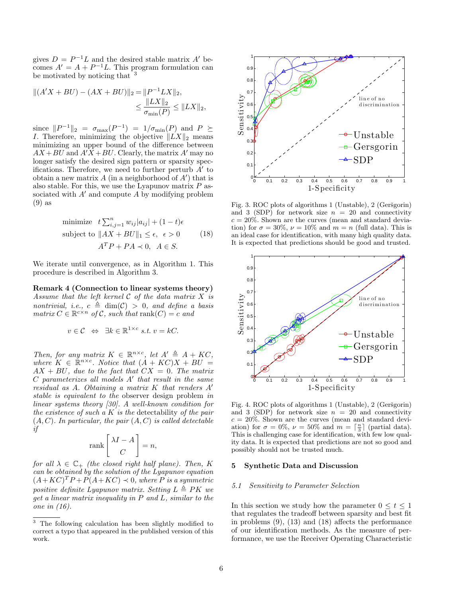gives  $D = P^{-1}L$  and the desired stable matrix A' becomes  $A' = A + P^{-1}L$ . This program formulation can be motivated by noticing that <sup>3</sup>

$$
||(A'X + BU) - (AX + BU)||_2 = ||P^{-1}LX||_2,
$$
  

$$
\le \frac{||LX||_2}{\sigma_{\min}(P)} \le ||LX||_2,
$$

since  $||P^{-1}||_2 = \sigma_{\max}(P^{-1}) = 1/\sigma_{\min}(P)$  and  $P \ge$ I. Therefore, minimizing the objective  $\|LX\|_2$  means minimizing an upper bound of the difference between  $AX + BU$  and  $A'X + BU$ . Clearly, the matrix A' may no longer satisfy the desired sign pattern or sparsity specifications. Therefore, we need to further perturb  $\overline{A}'$  to obtain a new matrix  $A$  (in a neighborhood of  $A'$ ) that is also stable. For this, we use the Lyapunov matrix  $P$  associated with  $A'$  and compute A by modifying problem (9) as

minimize 
$$
t \sum_{i,j=1}^{n} w_{ij} |a_{ij}| + (1-t)\epsilon
$$
  
subject to  $||AX + BU||_1 \le \epsilon, \ \epsilon > 0$  (18)  
 $A^T P + P A \prec 0, \ A \in S.$ 

We iterate until convergence, as in Algorithm 1. This procedure is described in Algorithm 3.

Remark 4 (Connection to linear systems theory) Assume that the left kernel  $\mathcal C$  of the data matrix  $X$  is nontrivial, i.e.,  $c \triangleq \dim(\mathcal{C}) > 0$ , and define a basis  $matrix C \in \mathbb{R}^{c \times n}$  of C, such that  $rank(C) = c$  and

$$
v \in \mathcal{C} \iff \exists k \in \mathbb{R}^{1 \times c} \text{ s.t. } v = kC.
$$

Then, for any matrix  $K \in \mathbb{R}^{n \times c}$ , let  $A' \triangleq A + KC$ , where  $K \in \mathbb{R}^{n \times c}$ . Notice that  $(A + KC)X + BU =$  $AX + BU$ , due to the fact that  $CX = 0$ . The matrix  $C$  parameterizes all models  $A'$  that result in the same residual as A. Obtaining a matrix K that renders  $A'$ stable is equivalent to the observer design problem in linear systems theory [30]. A well-known condition for the existence of such a  $K$  is the detectability of the pair  $(A, C)$ . In particular, the pair  $(A, C)$  is called detectable if

$$
rank \left[ \begin{array}{c} \lambda I - A \\ C \end{array} \right] = n,
$$

for all  $\lambda \in \mathbb{C}_+$  (the closed right half plane). Then, K can be obtained by the solution of the Lyapunov equation  $(A+KC)^{T}P+P(A+KC) \prec 0$ , where P is a symmetric positive definite Lyapunov matrix. Setting  $L \triangleq PK$  we get a linear matrix inequality in P and L, similar to the one in (16).



Fig. 3. ROC plots of algorithms 1 (Unstable), 2 (Geršgorin) and 3 (SDP) for network size  $n = 20$  and connectivity  $c = 20\%$ . Shown are the curves (mean and standard deviation) for  $\sigma = 30\%$ ,  $\nu = 10\%$  and  $m = n$  (full data). This is an ideal case for identification, with many high quality data. It is expected that predictions should be good and trusted.



Fig. 4. ROC plots of algorithms 1 (Unstable), 2 (Geršgorin) and 3 (SDP) for network size  $n = 20$  and connectivity  $c = 20\%$ . Shown are the curves (mean and standard deviation) for  $\sigma = 0\%$ ,  $\nu = 50\%$  and  $m = \lceil \frac{n}{3} \rceil$  (partial data). This is challenging case for identification, with few low quality data. It is expected that predictions are not so good and possibly should not be trusted much.

## 5 Synthetic Data and Discussion

### 5.1 Sensitivity to Parameter Selection

In this section we study how the parameter  $0 \le t \le 1$ that regulates the tradeoff between sparsity and best fit in problems (9), (13) and (18) affects the performance of our identification methods. As the measure of performance, we use the Receiver Operating Characteristic

<sup>3</sup> The following calculation has been slightly modified to correct a typo that appeared in the published version of this work.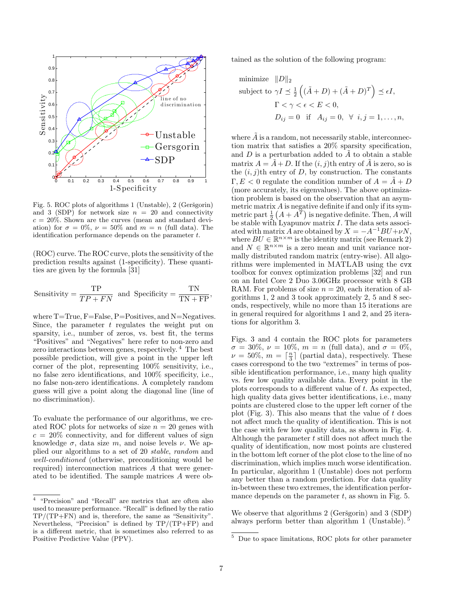

Fig. 5. ROC plots of algorithms 1 (Unstable), 2 (Geršgorin) and 3 (SDP) for network size  $n = 20$  and connectivity  $c = 20\%$ . Shown are the curves (mean and standard deviation) for  $\sigma = 0\%$ ,  $\nu = 50\%$  and  $m = n$  (full data). The identification performance depends on the parameter t.

(ROC) curve. The ROC curve, plots the sensitivity of the prediction results against (1-specificity). These quantities are given by the formula [31]

Sensitivity = 
$$
\frac{\text{TP}}{TP + FN}
$$
 and Specificity =  $\frac{\text{TN}}{\text{TN} + \text{FP}}$ 

where  $T=True$ ,  $F=False$ ,  $P=Positives$ , and  $N=Negatives$ . Since, the parameter  $t$  regulates the weight put on sparsity, i.e., number of zeros, vs. best fit, the terms "Positives" and "Negatives" here refer to non-zero and zero interactions between genes, respectively. <sup>4</sup> The best possible prediction, will give a point in the upper left corner of the plot, representing 100% sensitivity, i.e., no false zero identifications, and 100% specificity, i.e., no false non-zero identifications. A completely random guess will give a point along the diagonal line (line of no discrimination).

To evaluate the performance of our algorithms, we created ROC plots for networks of size  $n = 20$  genes with  $c = 20\%$  connectivity, and for different values of sign knowledge  $\sigma$ , data size m, and noise levels  $\nu$ . We applied our algorithms to a set of 20 stable, random and well-conditioned (otherwise, preconditioning would be required) interconnection matrices A that were generated to be identified. The sample matrices A were obtained as the solution of the following program:

minimize 
$$
||D||_2
$$
  
\nsubject to  $\gamma I \preceq \frac{1}{2} ((\tilde{A} + D) + (\tilde{A} + D)^T) \preceq \epsilon I$ ,  
\n $\Gamma < \gamma < \epsilon < E < 0$ ,  
\n $D_{ij} = 0$  if  $A_{ij} = 0, \forall i, j = 1, ..., n$ ,

where  $\tilde{A}$  is a random, not necessarily stable, interconnection matrix that satisfies a 20% sparsity specification, and D is a perturbation added to  $\tilde{A}$  to obtain a stable matrix  $A = \tilde{A} + D$ . If the  $(i, j)$ th entry of  $\tilde{A}$  is zero, so is the  $(i, j)$ th entry of D, by construction. The constants  $\Gamma, E < 0$  regulate the condition number of  $A = \tilde{A} + D$ (more accurately, its eigenvalues). The above optimization problem is based on the observation that an asymmetric matrix  $A$  is negative definite if and only if its symmetric part  $\frac{1}{2}(A + A^T)$  is negative definite. Then, A will be stable with Lyapunov matrix  $I$ . The data sets associated with matrix A are obtained by  $X = -A^{-1}BU + \nu N$ , where  $BU \in \mathbb{R}^{n \times m}$  is the identity matrix (see Remark 2) and  $N \in \mathbb{R}^{n \times m}$  is a zero mean and unit variance normally distributed random matrix (entry-wise). All algorithms were implemented in MATLAB using the cvx toolbox for convex optimization problems [32] and run on an Intel Core 2 Duo 3.06GHz processor with 8 GB RAM. For problems of size  $n = 20$ , each iteration of algorithms 1, 2 and 3 took approximately 2, 5 and 8 seconds, respectively, while no more than 15 iterations are in general required for algorithms 1 and 2, and 25 iterations for algorithm 3.

Figs. 3 and 4 contain the ROC plots for parameters  $\sigma = 30\%, \nu = 10\%, m = n \text{ (full data)}, \text{ and } \sigma = 0\%,$  $\nu = 50\%, m = \lceil \frac{n}{3} \rceil$  (partial data), respectively. These cases correspond to the two "extremes" in terms of possible identification performance, i.e., many high quality vs. few low quality available data. Every point in the plots corresponds to a different value of  $t$ . As expected, high quality data gives better identifications, i.e., many points are clustered close to the upper left corner of the plot (Fig. 3). This also means that the value of  $t$  does not affect much the quality of identification. This is not the case with few low quality data, as shown in Fig. 4. Although the parameter  $t$  still does not affect much the quality of identification, now most points are clustered in the bottom left corner of the plot close to the line of no discrimination, which implies much worse identification. In particular, algorithm 1 (Unstable) does not perform any better than a random prediction. For data quality in-between these two extremes, the identification performance depends on the parameter  $t$ , as shown in Fig. 5.

We observe that algorithms  $2$  (Gersgorin) and  $3$  (SDP) always perform better than algorithm 1 (Unstable). <sup>5</sup>

,

<sup>4</sup> "Precision" and "Recall" are metrics that are often also used to measure performance. "Recall" is defined by the ratio TP/(TP+FN) and is, therefore, the same as "Sensitivity". Nevertheless, "Precision" is defined by TP/(TP+FP) and is a different metric, that is sometimes also referred to as Positive Predictive Value (PPV).

<sup>5</sup> Due to space limitations, ROC plots for other parameter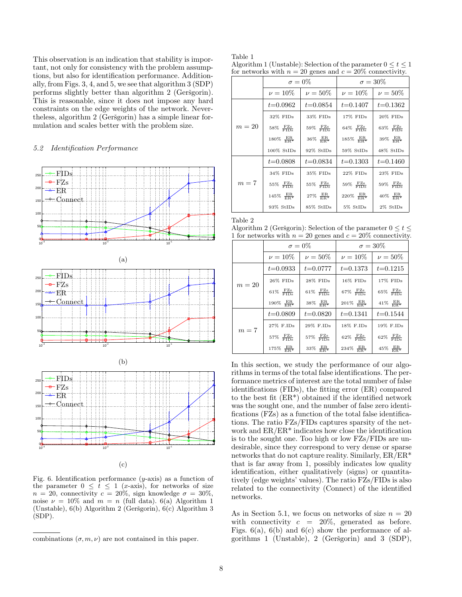This observation is an indication that stability is important, not only for consistency with the problem assumptions, but also for identification performance. Additionally, from Figs. 3, 4, and 5, we see that algorithm 3 (SDP) performs slightly better than algorithm 2 (Geršgorin). This is reasonable, since it does not impose any hard constraints on the edge weights of the network. Nevertheless, algorithm  $2$  (Geršgorin) has a simple linear formulation and scales better with the problem size.

# 5.2 Identification Performance



Fig. 6. Identification performance  $(y\text{-axis})$  as a function of the parameter  $0 \leq t \leq 1$  (*x*-axis), for networks of size  $n = 20$ , connectivity  $c = 20\%$ , sign knowledge  $\sigma = 30\%$ , noise  $\nu = 10\%$  and  $m = n$  (full data). 6(a) Algorithm 1 (Unstable),  $6(b)$  Algorithm 2 (Geršgorin),  $6(c)$  Algorithm 3 (SDP).

| Table 1 |                                                                    |
|---------|--------------------------------------------------------------------|
|         | Algorithm 1 (Unstable): Selection of the parameter $0 \le t \le 1$ |
|         | for networks with $n = 20$ genes and $c = 20\%$ connectivity.      |

|        | $\sigma = 0\%$                        |                                       | $\sigma = 30\%$                       |                                       |  |  |
|--------|---------------------------------------|---------------------------------------|---------------------------------------|---------------------------------------|--|--|
|        | $\nu = 10\%$                          | $\nu = 50\%$                          | $\nu = 10\%$                          | $\nu = 50\%$                          |  |  |
|        | $t = 0.0962$                          | $t = 0.0854$                          | $t = 0.1407$                          | $t = 0.1362$                          |  |  |
| $m=20$ | 32% FIDs                              | 33% FIDs                              | 17% FIDs                              | 20% FIDs                              |  |  |
|        | $58\% \frac{\text{FZs}}{\text{FIDS}}$ | $59\% \frac{\text{FZs}}{\text{FIDs}}$ | $64\% \frac{\text{FZs}}{\text{FIDs}}$ | $63\% \frac{\text{FZs}}{\text{FIDs}}$ |  |  |
|        | $180\%~\frac{\text{ER}}{\text{ER*}}$  | $36\% \frac{\text{ER}}{\text{ER*}}$   | $185\%~\frac{\text{ER}}{\text{ER*}}$  | $39\% \frac{\text{ER}}{\text{ER*}}$   |  |  |
|        | 100% StIDs                            | 92% StIDs                             | 59% StIDs                             | 48% StIDs                             |  |  |
| $m=7$  | $t = 0.0808$                          | $t = 0.0834$                          | $t = 0.1303$                          | $t = 0.1460$                          |  |  |
|        | 34% FIDs                              | 35% FIDs                              | 22% FIDs                              | 23% FIDs                              |  |  |
|        | $55\% \frac{\text{FZs}}{\text{FIDs}}$ | $55\% \frac{\text{FZs}}{\text{FIDs}}$ | $59\% \frac{\text{FZs}}{\text{FIDs}}$ | $59\% \frac{\text{FZs}}{\text{FIDS}}$ |  |  |
|        | 145% $\frac{ER}{ER*}$                 | $27\% \frac{\text{ER}}{\text{ER*}}$   | $220\%~\frac{ER}{ER*}$                | $40\% \frac{\text{ER}}{\text{ER*}}$   |  |  |
|        | 93% StIDs                             | 85% StIDs                             | 5% StIDs                              | 2% StIDs                              |  |  |

Table 2

Algorithm 2 (Geršgorin): Selection of the parameter  $0 \le t \le$ 1 for networks with  $n = 20$  genes and  $c = 20\%$  connectivity.

|        | $\sigma = 0\%$                        |                                       | $\sigma = 30\%$                         |                                       |  |
|--------|---------------------------------------|---------------------------------------|-----------------------------------------|---------------------------------------|--|
|        | $\nu = 10\%$                          | $\nu = 50\%$                          | $\nu = 10\%$                            | $\nu = 50\%$                          |  |
| $m=20$ | $t = 0.0933$                          | $t = 0.0777$                          | $t = 0.1373$                            | $t = 0.1215$                          |  |
|        | 26% FIDs                              | 28% FIDs                              | 16% FIDs                                | 17% FIDs                              |  |
|        | $61\% \frac{\text{FZs}}{\text{FIDS}}$ | $61\% \frac{\text{FZs}}{\text{FIDS}}$ | $67\% \frac{\text{FZs}}{\text{FIDs}}$   | $65\% \frac{\text{FZs}}{\text{FIDS}}$ |  |
|        | $190\%~\frac{\text{ER}}{\text{ER*}}$  | $38\% \frac{\text{ER}}{\text{ER*}}$   | $201\%~\frac{\text{ER}}{\text{ER*}}$    | $41\% \frac{ER}{ER*}$                 |  |
| $m=7$  | $t = 0.0809$                          | $t = 0.0820$                          | $t = 0.1341$                            | $t = 0.1544$                          |  |
|        | 27% F.IDs                             | 29% F.IDs                             | 18% F.IDs                               | 19% F.IDs                             |  |
|        | $57\% \frac{\text{FZs}}{\text{FIDS}}$ | $57\% \frac{\text{FZs}}{\text{FIDs}}$ | $62\%$ $\frac{\text{FZs}}{\text{FIDs}}$ | $62\% \frac{\text{FZs}}{\text{FIDS}}$ |  |
|        | $175\% \frac{ER}{ER*}$                | 33% $\frac{ER}{ER*}$                  | $234\% \frac{ER}{ER*}$                  | $45\% \frac{\text{ER}}{\text{ER*}}$   |  |

In this section, we study the performance of our algorithms in terms of the total false identifications. The performance metrics of interest are the total number of false identifications (FIDs), the fitting error (ER) compared to the best fit (ER\*) obtained if the identified network was the sought one, and the number of false zero identifications (FZs) as a function of the total false identifications. The ratio FZs/FIDs captures sparsity of the network and ER/ER\* indicates how close the identification is to the sought one. Too high or low FZs/FIDs are undesirable, since they correspond to very dense or sparse networks that do not capture reality. Similarly, ER/ER\* that is far away from 1, possibly indicates low quality identification, either qualitatively (signs) or quantitatively (edge weights' values). The ratio FZs/FIDs is also related to the connectivity (Connect) of the identified networks.

As in Section 5.1, we focus on networks of size  $n = 20$ with connectivity  $c = 20\%$ , generated as before. Figs.  $6(a)$ ,  $6(b)$  and  $6(c)$  show the performance of algorithms 1 (Unstable), 2 (Geršgorin) and 3 (SDP),

combinations  $(\sigma, m, \nu)$  are not contained in this paper.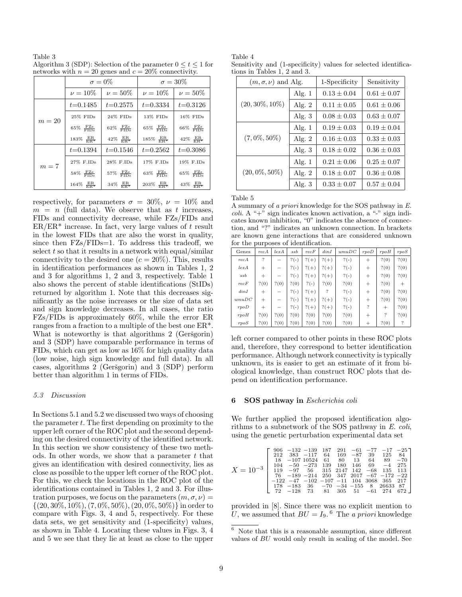Table 3 Algorithm 3 (SDP): Selection of the parameter  $0 \le t \le 1$  for networks with  $n = 20$  genes and  $c = 20\%$  connectivity.

|        |                                       | $\sigma = 0\%$                        | $\sigma = 30\%$                         |                                       |  |
|--------|---------------------------------------|---------------------------------------|-----------------------------------------|---------------------------------------|--|
|        | $\nu = 10\%$                          | $\nu = 50\%$                          | $\nu = 10\%$                            | $\nu = 50\%$                          |  |
|        | $t = 0.1485$                          | $t = 0.2575$                          | $t = 0.3334$                            | $t = 0.3126$                          |  |
| $m=20$ | $25\%$ FIDs                           | $24\%$ FIDs                           | 13% FIDs                                | $16\%$ FIDs                           |  |
|        | $65\% \frac{\text{FZs}}{\text{FIDs}}$ | $62\% \frac{\text{FZs}}{\text{FIDs}}$ | $65\% \frac{\text{FZs}}{\text{FIDs}}$   | $66\% \frac{\text{FZs}}{\text{FIDs}}$ |  |
|        | $183\%~\frac{\text{ER}}{\text{ER*}}$  | $42\% \frac{ER}{ER*}$                 | $185\%~\frac{\text{ER}}{\text{ER*}}$    | $42\% \frac{\text{ER}}{\text{ER*}}$   |  |
| $m=7$  | $t = 0.1394$                          | $t = 0.1546$                          | $t = 0.2562$                            | $t = 0.3086$                          |  |
|        | 27% F.IDs                             | 28% F.IDs                             | 17% F.IDs                               | $19\%$ F.IDs                          |  |
|        | $58\% \frac{\text{FZs}}{\text{FIDs}}$ | $57\% \frac{\text{FZs}}{\text{FIDS}}$ | $63\%$ $\frac{\text{FZs}}{\text{FIDs}}$ | $65\% \frac{\text{FZs}}{\text{FIDS}}$ |  |
|        | $164\%~\frac{\text{ER}}{\text{ER*}}$  | 34% $\frac{ER}{ER*}$                  | $203\%$ $\frac{ER}{ER*}$                | $43\% \frac{\text{ER}}{\text{ER}^*}$  |  |

respectively, for parameters  $\sigma = 30\%$ ,  $\nu = 10\%$  and  $m = n$  (full data). We observe that as t increases, FIDs and connectivity decrease, while FZs/FIDs and  $ER/ER^*$  increase. In fact, very large values of t result in the lowest FIDs that are also the worst in quality, since then FZs/FIDs=1. To address this tradeoff, we select  $t$  so that it results in a network with equal/similar connectivity to the desired one  $(c = 20\%)$ . This, results in identification performances as shown in Tables 1, 2 and 3 for algorithms 1, 2 and 3, respectively. Table 1 also shows the percent of stable identifications (StIDs) returned by algorithm 1. Note that this decreases significantly as the noise increases or the size of data set and sign knowledge decreases. In all cases, the ratio FZs/FIDs is approximately 60%, while the error ER ranges from a fraction to a multiple of the best one ER\*. What is noteworthy is that algorithms  $2$  (Gersgorin) and 3 (SDP) have comparable performance in terms of FIDs, which can get as low as 16% for high quality data (low noise, high sign knowledge and full data). In all cases, algorithms 2 (Geršgorin) and 3 (SDP) perform better than algorithm 1 in terms of FIDs.

#### 5.3 Discussion

In Sections 5.1 and 5.2 we discussed two ways of choosing the parameter  $t$ . The first depending on proximity to the upper left corner of the ROC plot and the second depending on the desired connectivity of the identified network. In this section we show consistency of these two methods. In other words, we show that a parameter  $t$  that gives an identification with desired connectivity, lies as close as possible to the upper left corner of the ROC plot. For this, we check the locations in the ROC plot of the identifications contained in Tables 1, 2 and 3. For illustration purposes, we focus on the parameters  $(m, \sigma, \nu)$  =  $\{(20, 30\%, 10\%), (7, 0\%, 50\%), (20, 0\%, 50\%)\}$  in order to compare with Figs. 3, 4 and 5, respectively. For these data sets, we get sensitivity and (1-specificity) values, as shown in Table 4. Locating these values in Figs. 3, 4 and 5 we see that they lie at least as close to the upper

Table 4 Sensitivity and (1-specificity) values for selected identifications in Tables 1, 2 and 3.

| $(m, \sigma, \nu)$ and Alg. |          | 1-Specificity   | Sensitivity     |
|-----------------------------|----------|-----------------|-----------------|
|                             | Alg. $1$ | $0.13 \pm 0.04$ | $0.61 \pm 0.07$ |
| $(20, 30\%, 10\%)$          | Alg. $2$ | $0.11 \pm 0.05$ | $0.61 \pm 0.06$ |
|                             | Alg. $3$ | $0.08 \pm 0.03$ | $0.63 \pm 0.07$ |
| $(7,0\%,50\%)$              | Alg. $1$ | $0.19 \pm 0.03$ | $0.19 \pm 0.04$ |
|                             | Alg. $2$ | $0.16 \pm 0.03$ | $0.33 \pm 0.03$ |
|                             | Alg. $3$ | $0.18 \pm 0.02$ | $0.36 \pm 0.03$ |
| $(20,0\%,50\%)$             | Alg. $1$ | $0.21 \pm 0.06$ | $0.25 \pm 0.07$ |
|                             | Alg. $2$ | $0.18 \pm 0.07$ | $0.36 \pm 0.08$ |
|                             | Alg. $3$ | $0.33 \pm 0.07$ | $0.57 \pm 0.04$ |

Table 5

A summary of a priori knowledge for the SOS pathway in E.  $\text{coli. A}$  "+" sign indicates known activation, a "-" sign indicates known inhibition, "0" indicates the absence of connection, and "?" indicates an unknown connection. In brackets are known gene interactions that are considered unknown for the purposes of identification.

| Genes    | recA   | lexA | $_{ssb}$ | recF   | dinI   | umuDC  | rpoD   | $_{\mathit{rpoH}}$ | rpoS   |
|----------|--------|------|----------|--------|--------|--------|--------|--------------------|--------|
| recA     | ?      |      | $?(-)$   | $?(+)$ | $?(+)$ | $?(-)$ | $^{+}$ | ?(0)               | ?(0)   |
| lexA     | $^{+}$ | -    | $?(-)$   | $?(+)$ | $?(+)$ | $?(-)$ | $^{+}$ | ?(0)               | ?(0)   |
| $_{ssb}$ | $^{+}$ | -    | $?(-)$   | $?(+)$ | $?(+)$ | $?(-)$ | $^{+}$ | ?(0)               | ?(0)   |
| recF     | ?(0)   | ?(0) | ?(0)     | $?(-)$ | ?(0)   | ?(0)   | $^{+}$ | ?(0)               | $^{+}$ |
| dinI     | $^{+}$ |      | $?(-)$   | $?(+)$ | ?      | $?(-)$ | $^{+}$ | ?(0)               | ?(0)   |
| umuDC    | $^{+}$ |      | $?(-)$   | $?(+)$ | $?(+)$ | $?(-)$ | $^{+}$ | ?(0)               | ?(0)   |
| rpoD     | $^{+}$ | -    | $?(-)$   | $?(+)$ | $?(+)$ | $?(-)$ | ?      | $^{+}$             | ?(0)   |
| rpoH     | ?(0)   | ?(0) | ?(0)     | ?(0)   | ?(0)   | ?(0)   | $\,$   | ?                  | ?(0)   |
| rpoS     | ?(0)   | ?(0) | ?(0)     | ?(0)   | ?(0)   | ?(0)   | $\,$   | ?(0)               | ?      |

left corner compared to other points in these ROC plots and, therefore, they correspond to better identification performance. Although network connectivity is typically unknown, its is easier to get an estimate of it from biological knowledge, than construct ROC plots that depend on identification performance.

# 6 SOS pathway in Escherichia coli

We further applied the proposed identification algorithms to a subnetwork of the SOS pathway in E. coli, using the genetic perturbation experimental data set

$$
X=10^{-3}\begin{bmatrix} 906 & -132 & -139 & 187 & 291 & -61 & -77 & -17 & -25\\ 212 & 383 & -117 & 64 & 169 & -87 & 39 & 125 & 84\\ 18 & -107 & 10524 & 61 & 80 & 13 & 64 & 89 & -70\\ 104 & -50 & -273 & 139 & 180 & 146 & 69 & -4 & 275\\ 119 & -97 & 56 & 315 & 2147 & 142 & -68 & 135 & 113\\ 76 & -189 & -214 & 250 & 347 & 2017 & -67 & -172 & -22\\ -122 & -47 & -102 & -107 & -11 & 104 & 3068 & 365 & 217\\ 178 & -183 & 36 & -70 & -34 & -155 & 8 & 26633 & 87\\ 72 & -128 & 73 & 81 & 305 & 51 & -61 & 274 & 672 \end{bmatrix}
$$

provided in [8]. Since there was no explicit mention to U, we assumed that  $BU = I_9$ . <sup>6</sup> The *a priori* knowledge

 $6$  Note that this is a reasonable assumption, since different values of BU would only result in scaling of the model. See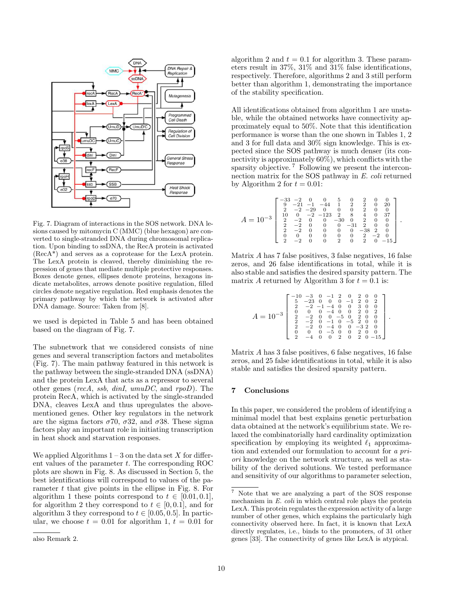

Fig. 7. Diagram of interactions in the SOS network. DNA lesions caused by mitomycin C (MMC) (blue hexagon) are converted to single-stranded DNA during chromosomal replication. Upon binding to ssDNA, the RecA protein is activated (RecA\*) and serves as a coprotease for the LexA protein. The LexA protein is cleaved, thereby diminishing the repression of genes that mediate multiple protective responses. Boxes denote genes, ellipses denote proteins, hexagons indicate metabolites, arrows denote positive regulation, filled circles denote negative regulation. Red emphasis denotes the primary pathway by which the network is activated after DNA damage. Source: Taken from [8].

we used is depicted in Table 5 and has been obtained based on the diagram of Fig. 7.

The subnetwork that we considered consists of nine genes and several transcription factors and metabolites (Fig. 7). The main pathway featured in this network is the pathway between the single-stranded DNA (ssDNA) and the protein LexA that acts as a repressor to several other genes ( $recA$ ,  $ssb$ ,  $dinI$ ,  $umuDC$ , and  $rpoD$ ). The protein RecA, which is activated by the single-stranded DNA, cleaves LexA and thus upregulates the abovementioned genes. Other key regulators in the network are the sigma factors  $\sigma$ 70,  $\sigma$ 32, and  $\sigma$ 38. These sigma factors play an important role in initiating transcription in heat shock and starvation responses.

We applied Algorithms  $1-3$  on the data set X for different values of the parameter  $t$ . The corresponding ROC plots are shown in Fig. 8. As discussed in Section 5, the best identifications will correspond to values of the parameter  $t$  that give points in the ellipse in Fig. 8. For algorithm 1 these points correspond to  $t \in [0.01, 0.1]$ , for algorithm 2 they correspond to  $t \in [0, 0.1]$ , and for algorithm 3 they correspond to  $t \in [0.05, 0.5]$ . In particular, we choose  $t = 0.01$  for algorithm 1,  $t = 0.01$  for algorithm 2 and  $t = 0.1$  for algorithm 3. These parameters result in 37%, 31% and 31% false identifications, respectively. Therefore, algorithms 2 and 3 still perform better than algorithm 1, demonstrating the importance of the stability specification.

All identifications obtained from algorithm 1 are unstable, while the obtained networks have connectivity approximately equal to 50%. Note that this identification performance is worse than the one shown in Tables 1, 2 and 3 for full data and 30% sign knowledge. This is expected since the SOS pathway is much denser (its connectivity is approximately 60%), which conflicts with the sparsity objective.<sup>7</sup> Following we present the interconnection matrix for the SOS pathway in E. coli returned by Algorithm 2 for  $t = 0.01$ :

$$
A=10^{-3}\left[\begin{smallmatrix}-33&-2&0&0&5&0&2&0&0\\9&-21&-1&-44&1&2&2&0&20\\2&-2&-29&0&0&0&2&0&0\\10&0&-2&-123&2&8&4&0&37\\2&-2&0&0&-30&0&2&0&0\\2&-2&0&0&0&-31&2&0&0\\2&-2&0&0&0&0&-38&2&0\\2&-2&0&0&0&2&0&2&-15\end{smallmatrix}\right].
$$

Matrix A has 7 false positives, 3 false negatives, 16 false zeros, and 26 false identifications in total, while it is also stable and satisfies the desired sparsity pattern. The matrix A returned by Algorithm 3 for  $t = 0.1$  is:

$$
A=10^{-3}\left[\begin{smallmatrix} -10& -3&0&-1&2&0&2&0&0 \\ 5&-23&0&0&0&-1&2&0&2 \\ 2&-2&-1&-4&0&0&3&0&0 \\ 0&0&0&-4&0&0&2&0&2 \\ 2&-2&0&0&-5&0&2&0&0 \\ 2&-2&0&-4&0&0&-3&2&0 \\ 2&-2&0&-4&0&0&-3&2&0 \\ 0&0&0&-5&0&2&0&2&0-15 \end{smallmatrix}\right].
$$

Matrix A has 3 false positives, 6 false negatives, 16 false zeros, and 25 false identifications in total, while it is also stable and satisfies the desired sparsity pattern.

## 7 Conclusions

In this paper, we considered the problem of identifying a minimal model that best explains genetic perturbation data obtained at the network's equilibrium state. We relaxed the combinatorially hard cardinality optimization specification by employing its weighted  $\ell_1$  approximation and extended our formulation to account for a priori knowledge on the network structure, as well as stability of the derived solutions. We tested performance and sensitivity of our algorithms to parameter selection,

also Remark 2.

<sup>7</sup> Note that we are analyzing a part of the SOS response mechanism in E. coli in which central role plays the protein LexA. This protein regulates the expression activity of a large number of other genes, which explains the particularly high connectivity observed here. In fact, it is known that LexA directly regulates, i.e., binds to the promoters, of 31 other genes [33]. The connectivity of genes like LexA is atypical.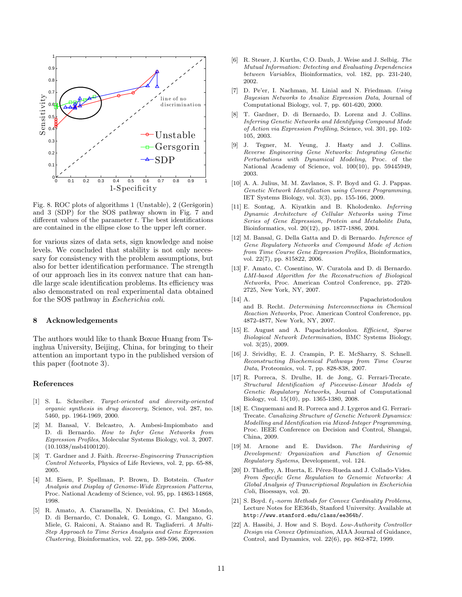

Fig. 8. ROC plots of algorithms 1 (Unstable), 2 (Geršgorin) and 3 (SDP) for the SOS pathway shown in Fig. 7 and different values of the parameter  $t$ . The best identifications are contained in the ellipse close to the upper left corner.

for various sizes of data sets, sign knowledge and noise levels. We concluded that stability is not only necessary for consistency with the problem assumptions, but also for better identification performance. The strength of our approach lies in its convex nature that can handle large scale identification problems. Its efficiency was also demonstrated on real experimental data obtained for the SOS pathway in Escherichia coli.

## 8 Acknowledgements

The authors would like to thank Boxue Huang from Tsinghua University, Beijing, China, for bringing to their attention an important typo in the published version of this paper (footnote 3).

#### References

- [1] S. L. Schreiber. Target-oriented and diversity-oriented organic synthesis in drug discovery, Science, vol. 287, no. 5460, pp. 1964-1969, 2000.
- [2] M. Bansal, V. Belcastro, A. Ambesi-Impiombato and D. di Bernardo. How to Infer Gene Networks from Expression Profiles, Molecular Systems Biology, vol. 3, 2007. (10.1038/msb4100120).
- [3] T. Gardner and J. Faith. Reverse-Engineering Transcription Control Networks, Physics of Life Reviews, vol. 2, pp. 65-88, 2005.
- [4] M. Eisen, P. Spellman, P. Brown, D. Botstein. Cluster Analysis and Display of Genome-Wide Expression Patterns, Proc. National Academy of Science, vol. 95, pp. 14863-14868, 1998.
- [5] R. Amato, A. Ciaramella, N. Deniskina, C. Del Mondo, D. di Bernardo, C. Donalek, G. Longo, G. Mangano, G. Miele, G. Raiconi, A. Staiano and R. Tagliaferri. A Multi-Step Approach to Time Series Analysis and Gene Expression Clustering, Bioinformatics, vol. 22, pp. 589-596, 2006.
- [6] R. Steuer, J. Kurths, C.O. Daub, J. Weise and J. Selbig. The Mutual Information: Detecting and Evaluating Dependencies between Variables, Bioinformatics, vol. 182, pp. 231-240, 2002.
- [7] D. Pe'er, I. Nachman, M. Linial and N. Friedman. Using Bayesian Networks to Analize Expression Data, Journal of Computational Biology, vol. 7, pp. 601-620, 2000.
- [8] T. Gardner, D. di Bernardo, D. Lorenz and J. Collins. Inferring Genetic Networks and Identifying Compound Mode of Action via Expression Profiling, Science, vol. 301, pp. 102- 105, 2003.
- [9] J. Tegner, M. Yeung, J. Hasty and J. Collins. Reverse Engineering Gene Networks: Integrating Genetic Perturbations with Dynamical Modeling, Proc. of the National Academy of Science, vol. 100(10), pp. 59445949, 2003.
- [10] A. A. Julius, M. M. Zavlanos, S. P. Boyd and G. J. Pappas. Genetic Network Identification using Convex Programming, IET Systems Biology, vol. 3(3), pp. 155-166, 2009.
- [11] E. Sontag, A. Kiyatkin and B. Kholodenko. Inferring Dynamic Architecture of Cellular Networks using Time Series of Gene Expression, Protein and Metabolite Data, Bioinformatics, vol. 20(12), pp. 1877-1886, 2004.
- [12] M. Bansal, G. Della Gatta and D. di Bernardo. Inference of Gene Regulatory Networks and Compound Mode of Action from Time Course Gene Expression Profiles, Bioinformatics, vol. 22(7), pp. 815822, 2006.
- [13] F. Amato, C. Cosentino, W. Curatola and D. di Bernardo. LMI-based Algorithm for the Reconstruction of Biological Networks, Proc. American Control Conference, pp. 2720- 2725, New York, NY, 2007.
- [14] A. Papachristodoulou and B. Recht. Determining Interconnections in Chemical Reaction Networks, Proc. American Control Conference, pp. 4872-4877, New York, NY, 2007.
- [15] E. August and A. Papachristodoulou. Efficient, Sparse Biological Network Determination, BMC Systems Biology, vol. 3(25), 2009.
- [16] J. Srividhy, E. J. Crampin, P. E. McSharry, S. Schnell. Reconstructing Biochemical Pathways from Time Course Data, Proteomics, vol. 7, pp. 828-838, 2007.
- [17] R. Porreca, S. Drulhe, H. de Jong, G. Ferrari-Trecate. Structural Identification of Piecewise-Linear Models of Genetic Regulatory Networks, Journal of Computational Biology, vol. 15(10), pp. 1365-1380, 2008.
- [18] E. Cinquemani and R. Porreca and J. Lygeros and G. Ferrari-Trecate. Canalizing Structure of Genetic Network Dynamics: Modelling and Identification via Mixed-Integer Programming, Proc. IEEE Conference on Decision and Control, Shangai, China, 2009.
- [19] M. Arnone and E. Davidson. The Hardwiring of Development: Organization and Function of Genomic Regulatory Systems, Development, vol. 124.
- [20] D. Thieffry, A. Huerta, E. Pérez-Rueda and J. Collado-Vides. From Specific Gene Regulation to Genomic Networks: A Global Analysis of Transcriptional Regulation in Escherichia Coli, Bioessays, vol. 20.
- [21] S. Boyd.  $\ell_1$ -norm Methods for Convex Cardinality Problems, Lecture Notes for EE364b, Stanford University. Available at http://www.stanford.edu/class/ee364b/.
- [22] A. Hassibi, J. How and S. Boyd. Low-Authority Controller Design via Convex Optimization, AIAA Journal of Guidance, Control, and Dynamics, vol. 22(6), pp. 862-872, 1999.